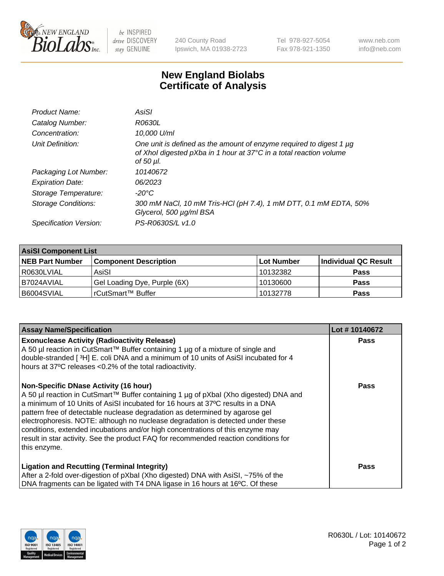

 $be$  INSPIRED drive DISCOVERY stay GENUINE

240 County Road Ipswich, MA 01938-2723 Tel 978-927-5054 Fax 978-921-1350 www.neb.com info@neb.com

## **New England Biolabs Certificate of Analysis**

| Product Name:           | AsiSI                                                                                                                                                       |
|-------------------------|-------------------------------------------------------------------------------------------------------------------------------------------------------------|
| Catalog Number:         | R0630L                                                                                                                                                      |
| Concentration:          | 10,000 U/ml                                                                                                                                                 |
| Unit Definition:        | One unit is defined as the amount of enzyme required to digest 1 µg<br>of Xhol digested pXba in 1 hour at 37°C in a total reaction volume<br>of 50 $\mu$ l. |
| Packaging Lot Number:   | 10140672                                                                                                                                                    |
| <b>Expiration Date:</b> | 06/2023                                                                                                                                                     |
| Storage Temperature:    | -20°C                                                                                                                                                       |
| Storage Conditions:     | 300 mM NaCl, 10 mM Tris-HCl (pH 7.4), 1 mM DTT, 0.1 mM EDTA, 50%<br>Glycerol, 500 µg/ml BSA                                                                 |
| Specification Version:  | PS-R0630S/L v1.0                                                                                                                                            |

| <b>AsiSI Component List</b> |                              |             |                      |  |  |
|-----------------------------|------------------------------|-------------|----------------------|--|--|
| <b>NEB Part Number</b>      | <b>Component Description</b> | ∣Lot Number | Individual QC Result |  |  |
| R0630LVIAL                  | AsiSI                        | 10132382    | <b>Pass</b>          |  |  |
| I B7024AVIAL                | Gel Loading Dye, Purple (6X) | 10130600    | <b>Pass</b>          |  |  |
| B6004SVIAL                  | rCutSmart™ Buffer            | 10132778    | <b>Pass</b>          |  |  |

| <b>Assay Name/Specification</b>                                                                                                                                                                                                                                                                                                                                                                                                                                                                                                                                                     | Lot #10140672 |
|-------------------------------------------------------------------------------------------------------------------------------------------------------------------------------------------------------------------------------------------------------------------------------------------------------------------------------------------------------------------------------------------------------------------------------------------------------------------------------------------------------------------------------------------------------------------------------------|---------------|
| <b>Exonuclease Activity (Radioactivity Release)</b><br>A 50 µl reaction in CutSmart™ Buffer containing 1 µg of a mixture of single and<br>double-stranded [3H] E. coli DNA and a minimum of 10 units of AsiSI incubated for 4<br>hours at 37°C releases <0.2% of the total radioactivity.                                                                                                                                                                                                                                                                                           | Pass          |
| <b>Non-Specific DNase Activity (16 hour)</b><br>A 50 µl reaction in CutSmart™ Buffer containing 1 µg of pXbal (Xho digested) DNA and<br>a minimum of 10 Units of AsiSI incubated for 16 hours at 37°C results in a DNA<br>pattern free of detectable nuclease degradation as determined by agarose gel<br>electrophoresis. NOTE: although no nuclease degradation is detected under these<br>conditions, extended incubations and/or high concentrations of this enzyme may<br>result in star activity. See the product FAQ for recommended reaction conditions for<br>this enzyme. | Pass          |
| <b>Ligation and Recutting (Terminal Integrity)</b><br>After a 2-fold over-digestion of pXbal (Xho digested) DNA with AsiSI, ~75% of the<br>DNA fragments can be ligated with T4 DNA ligase in 16 hours at 16°C. Of these                                                                                                                                                                                                                                                                                                                                                            | Pass          |